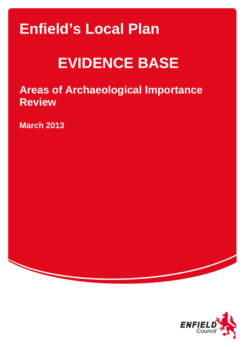## **Enfield's Local Plan**

# **EVIDENCE BASE**

**Areas of Archaeological Importance Review** 

**March 2013** 

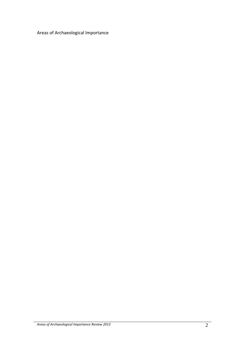## Areas of Archaeological Importance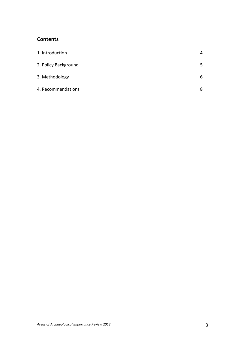## **Contents**

| 1. Introduction      | 4 |
|----------------------|---|
| 2. Policy Background | 5 |
| 3. Methodology       | 6 |
| 4. Recommendations   | 8 |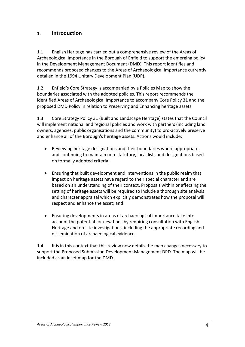### 1. **Introduction**

1.1 English Heritage has carried out a comprehensive review of the Areas of Archaeological Importance in the Borough of Enfield to support the emerging policy in the Development Management Document (DMD). This report identifies and recommends proposed changes to the Areas of Archaeological Importance currently detailed in the 1994 Unitary Development Plan (UDP).

1.2 Enfield's Core Strategy is accompanied by a Policies Map to show the boundaries associated with the adopted policies. This report recommends the identified Areas of Archaeological Importance to accompany Core Policy 31 and the proposed DMD Policy in relation to Preserving and Enhancing heritage assets.

1.3 Core Strategy Policy 31 (Built and Landscape Heritage) states that the Council will implement national and regional policies and work with partners (including land owners, agencies, public organisations and the community) to pro‐actively preserve and enhance all of the Borough's heritage assets. Actions would include:

- Reviewing heritage designations and their boundaries where appropriate, and continuing to maintain non‐statutory, local lists and designations based on formally adopted criteria;
- Ensuring that built development and interventions in the public realm that impact on heritage assets have regard to their special character and are based on an understanding of their context. Proposals within or affecting the setting of heritage assets will be required to include a thorough site analysis and character appraisal which explicitly demonstrates how the proposal will respect and enhance the asset; and
- Ensuring developments in areas of archaeological importance take into account the potential for new finds by requiring consultation with English Heritage and on‐site investigations, including the appropriate recording and dissemination of archaeological evidence.

1.4 It is in this context that this review now details the map changes necessary to support the Proposed Submission Development Management DPD. The map will be included as an inset map for the DMD.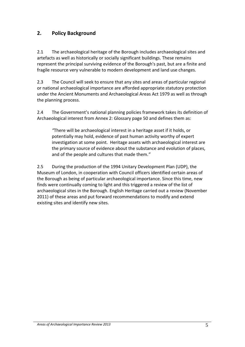## **2. Policy Background**

2.1 The archaeological heritage of the Borough includes archaeological sites and artefacts as well as historically or socially significant buildings. These remains represent the principal surviving evidence of the Borough's past, but are a finite and fragile resource very vulnerable to modern development and land use changes.

2.3 The Council will seek to ensure that any sites and areas of particular regional or national archaeological importance are afforded appropriate statutory protection under the Ancient Monuments and Archaeological Areas Act 1979 as well as through the planning process.

2.4 The Government's national planning policies framework takes its definition of Archaeological interest from Annex 2: Glossary page 50 and defines them as:

*"*There will be archaeological interest in a heritage asset if it holds, or potentially may hold, evidence of past human activity worthy of expert investigation at some point. Heritage assets with archaeological interest are the primary source of evidence about the substance and evolution of places, and of the people and cultures that made them.*"*

2.5 During the production of the 1994 Unitary Development Plan (UDP), the Museum of London, in cooperation with Council officers identified certain areas of the Borough as being of particular archaeological importance. Since this time, new finds were continually coming to light and this triggered a review of the list of archaeological sites in the Borough. English Heritage carried out a review (November 2011) of these areas and put forward recommendations to modify and extend existing sites and identify new sites.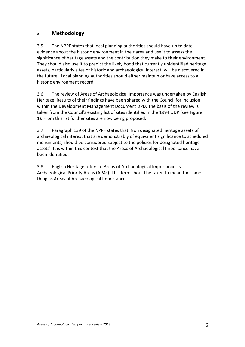## 3. **Methodology**

3.5 The NPPF states that local planning authorities should have up to date evidence about the historic environment in their area and use it to assess the significance of heritage assets and the contribution they make to their environment. They should also use it to predict the likely hood that currently unidentified heritage assets, particularly sites of historic and archaeological interest, will be discovered in the future. Local planning authorities should either maintain or have access to a historic environment record.

3.6 The review of Areas of Archaeological Importance was undertaken by English Heritage. Results of their findings have been shared with the Council for inclusion within the Development Management Document DPD. The basis of the review is taken from the Council's existing list of sites identified in the 1994 UDP (see Figure 1). From this list further sites are now being proposed.

3.7 Paragraph 139 of the NPPF states that 'Non designated heritage assets of archaeological interest that are demonstrably of equivalent significance to scheduled monuments, should be considered subject to the policies for designated heritage assets'. It is within this context that the Areas of Archaeological Importance have been identified.

3.8 English Heritage refers to Areas of Archaeological Importance as Archaeological Priority Areas (APAs). This term should be taken to mean the same thing as Areas of Archaeological Importance.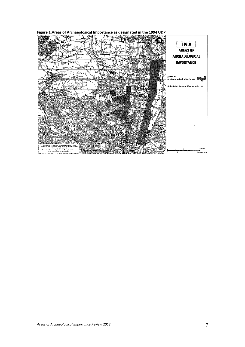**Figure 1.Areas of Archaeological Importance as designated in the 1994 UDP** 

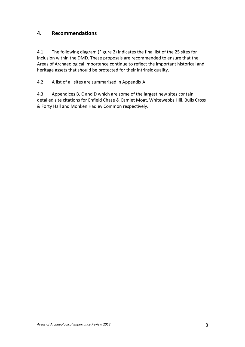## **4. Recommendations**

4.1 The following diagram (Figure 2) indicates the final list of the 25 sites for inclusion within the DMD. These proposals are recommended to ensure that the Areas of Archaeological Importance continue to reflect the important historical and heritage assets that should be protected for their intrinsic quality.

4.2 A list of all sites are summarised in Appendix A.

4.3 Appendices B, C and D which are some of the largest new sites contain detailed site citations for Enfield Chase & Camlet Moat, Whitewebbs Hill, Bulls Cross & Forty Hall and Monken Hadley Common respectively.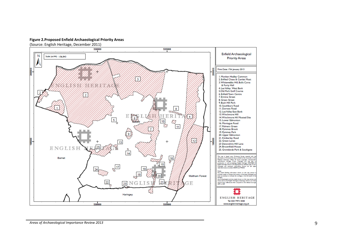#### **Figure 2.Proposed Enfield Archaeological Priority Areas**

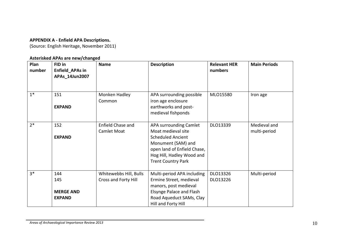#### **APPENDIX A ‐ Enfield APA Descriptions.**

(Source: English Heritage, November 2011)

#### **Asterisked APAs are new/changed**

| Plan<br>number | FID in<br>Enfield_APAs in<br>APAs_14Jun2007     | <b>Name</b>                                    | <b>Description</b>                                                                                                                                                                      | <b>Relevant HER</b><br>numbers | <b>Main Periods</b>          |
|----------------|-------------------------------------------------|------------------------------------------------|-----------------------------------------------------------------------------------------------------------------------------------------------------------------------------------------|--------------------------------|------------------------------|
| $1*$           | 151<br><b>EXPAND</b>                            | Monken Hadley<br>Common                        | APA surrounding possible<br>iron age enclosure<br>earthworks and post-<br>medieval fishponds                                                                                            | MLO15580                       | Iron age                     |
| $2*$           | 152<br><b>EXPAND</b>                            | Enfield Chase and<br><b>Camlet Moat</b>        | APA surrounding Camlet<br>Moat medieval site<br><b>Scheduled Ancient</b><br>Monument (SAM) and<br>open land of Enfield Chase,<br>Hog Hill, Hadley Wood and<br><b>Trent Country Park</b> | DLO13339                       | Medieval and<br>multi-period |
| $3*$           | 144<br>145<br><b>MERGE AND</b><br><b>EXPAND</b> | Whitewebbs Hill, Bulls<br>Cross and Forty Hill | Multi-period APA including<br>Ermine Street, medieval<br>manors, post medieval<br>Elsynge Palace and Flash<br>Road Aqueduct SAMs, Clay<br>Hill and Forty Hill                           | DLO13326<br>DLO13226           | Multi-period                 |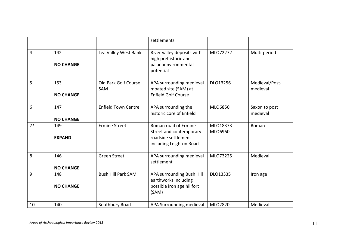|      |                         |                             | settlements                                                                                       |                     |                            |
|------|-------------------------|-----------------------------|---------------------------------------------------------------------------------------------------|---------------------|----------------------------|
| 4    | 142<br><b>NO CHANGE</b> | Lea Valley West Bank        | River valley deposits with<br>high prehistoric and<br>palaeoenvironmental<br>potential            | MLO72272            | Multi-period               |
| 5    | 153<br><b>NO CHANGE</b> | Old Park Golf Course<br>SAM | APA surrounding medieval<br>moated site (SAM) at<br><b>Enfield Golf Course</b>                    | DLO13256            | Medieval/Post-<br>medieval |
| 6    | 147<br><b>NO CHANGE</b> | <b>Enfield Town Centre</b>  | APA surrounding the<br>historic core of Enfield                                                   | MLO6850             | Saxon to post<br>medieval  |
| $7*$ | 149<br><b>EXPAND</b>    | <b>Ermine Street</b>        | Roman road of Ermine<br>Street and contemporary<br>roadside settlement<br>including Leighton Road | MLO18373<br>MLO6960 | Roman                      |
| 8    | 146<br><b>NO CHANGE</b> | <b>Green Street</b>         | APA surrounding medieval<br>settlement                                                            | MLO73225            | Medieval                   |
| 9    | 148<br><b>NO CHANGE</b> | <b>Bush Hill Park SAM</b>   | APA surrounding Bush Hill<br>earthworks including<br>possible iron age hillfort<br>(SAM)          | DLO13335            | Iron age                   |
| 10   | 140                     | Southbury Road              | APA Surrounding medieval                                                                          | MLO2820             | Medieval                   |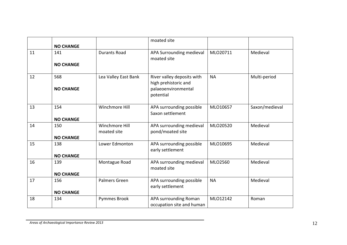|    | <b>NO CHANGE</b>        |                               | moated site                                                                            |           |                |
|----|-------------------------|-------------------------------|----------------------------------------------------------------------------------------|-----------|----------------|
| 11 | 141<br><b>NO CHANGE</b> | <b>Durants Road</b>           | APA Surrounding medieval<br>moated site                                                | MLO20711  | Medieval       |
| 12 | 568<br><b>NO CHANGE</b> | Lea Valley East Bank          | River valley deposits with<br>high prehistoric and<br>palaeoenvironmental<br>potential | <b>NA</b> | Multi-period   |
| 13 | 154<br><b>NO CHANGE</b> | Winchmore Hill                | APA surrounding possible<br>Saxon settlement                                           | MLO10657  | Saxon/medieval |
| 14 | 150<br><b>NO CHANGE</b> | Winchmore Hill<br>moated site | APA surrounding medieval<br>pond/moated site                                           | MLO20520  | Medieval       |
| 15 | 138<br><b>NO CHANGE</b> | Lower Edmonton                | APA surrounding possible<br>early settlement                                           | MLO10695  | Medieval       |
| 16 | 139<br><b>NO CHANGE</b> | Montague Road                 | APA surrounding medieval<br>moated site                                                | MLO2560   | Medieval       |
| 17 | 156<br><b>NO CHANGE</b> | Palmers Green                 | APA surrounding possible<br>early settlement                                           | <b>NA</b> | Medieval       |
| 18 | 134                     | Pymmes Brook                  | APA surrounding Roman<br>occupation site and human                                     | MLO12142  | Roman          |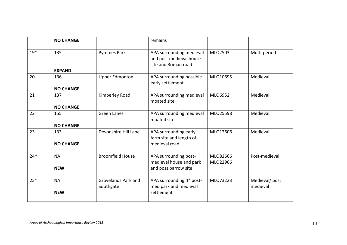|       | <b>NO CHANGE</b> |                                  | remains                                                                    |                      |                           |
|-------|------------------|----------------------------------|----------------------------------------------------------------------------|----------------------|---------------------------|
| $19*$ | 135              | Pymmes Park                      | APA surrounding medieval<br>and post medieval house<br>site and Roman road | MLO2503              | Multi-period              |
|       | <b>EXPAND</b>    |                                  |                                                                            |                      |                           |
| 20    | 136              | <b>Upper Edmonton</b>            | APA surrounding possible<br>early settlement                               | MLO10695             | Medieval                  |
|       | <b>NO CHANGE</b> |                                  |                                                                            |                      |                           |
| 21    | 137              | Kimberley Road                   | APA surrounding medieval<br>moated site                                    | MLO6952              | Medieval                  |
|       | <b>NO CHANGE</b> |                                  |                                                                            |                      |                           |
| 22    | 155              | <b>Green Lanes</b>               | APA surrounding medieval<br>moated site                                    | MLO25598             | Medieval                  |
|       | <b>NO CHANGE</b> |                                  |                                                                            |                      |                           |
| 23    | 133              | Devonshire Hill Lane             | APA surrounding early<br>farm site and length of                           | MLO12606             | Medieval                  |
|       | <b>NO CHANGE</b> |                                  | medieval road                                                              |                      |                           |
| $24*$ | <b>NA</b>        | <b>Broomfield House</b>          | APA surrounding post-<br>medieval house and park                           | MLO82666<br>MLO22966 | Post-medieval             |
|       | <b>NEW</b>       |                                  | and poss barrow site                                                       |                      |                           |
| $25*$ | <b>NA</b>        | Grovelands Park and<br>Southgate | APA surrounding II* post-<br>med park and medieval                         | MLO73223             | Medieval/post<br>medieval |
|       | <b>NEW</b>       |                                  | settlement                                                                 |                      |                           |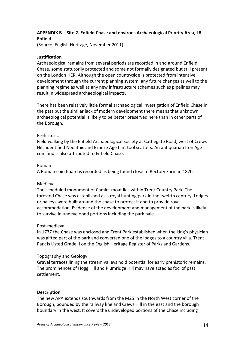#### **APPENDIX B – Site 2. Enfield Chase and environs Archaeological Priority Area, LB Enfield**

(Source: English Heritage, November 2011)

#### **Justification**

Archaeological remains from several periods are recorded in and around Enfield Chase, some statutorily protected and some not formally designated but still present on the London HER. Although the open countryside is protected from intensive development through the current planning system, any future changes as well to the planning regime as well as any new infrastructure schemes such as pipelines may result in widespread archaeological impacts.

There has been relatively little formal archaeological investigation of Enfield Chase in the past but the similar lack of modern development there means that unknown archaeological potential is likely to be better preserved here than in other parts of the Borough.

#### Prehistoric

Field walking by the Enfield Archaeological Society at Cattlegate Road, west of Crews Hill, identified Neolithic and Bronze Age flint tool scatters. An antiquarian Iron Age coin find is also attributed to Enfield Chase.

#### Roman

A Roman coin hoard is recorded as being found close to Rectory Farm in 1820.

#### Medieval

The scheduled monument of Camlet moat lies within Trent Country Park. The forested Chase was established as a royal hunting park in the twelfth century. Lodges or baileys were built around the chase to protect it and to provide royal accommodation. Evidence of the development and management of the park is likely to survive in undeveloped portions including the park pale.

#### Post‐medieval

In 1777 the Chase was enclosed and Trent Park established when the king's physician was gifted part of the park and converted one of the lodges to a country villa. Trent Park is Listed Grade II on the English Heritage Register of Parks and Gardens.

#### Topography and Geology

Gravel terraces lining the stream valleys hold potential for early prehistoric remains. The prominences of Hogg Hill and Plumridge Hill may have acted as foci of past settlement.

#### **Description**

The new APA extends southwards from the M25 in the North West corner of the Borough, bounded by the railway line and Crews Hill in the east and the borough boundary in the west. It covers the undeveloped portions of the Chase including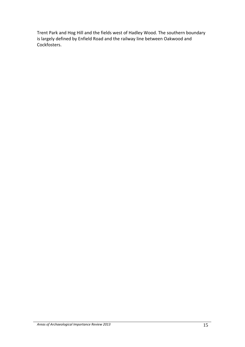Trent Park and Hog Hill and the fields west of Hadley Wood. The southern boundary is largely defined by Enfield Road and the railway line between Oakwood and Cockfosters.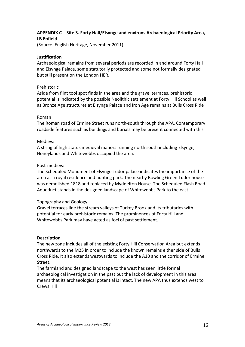#### **APPENDIX C – Site 3. Forty Hall/Elsynge and environs Archaeological Priority Area, LB Enfield**

(Source: English Heritage, November 2011)

#### **Justification**

Archaeological remains from several periods are recorded in and around Forty Hall and Elsynge Palace, some statutorily protected and some not formally designated but still present on the London HER.

#### Prehistoric

Aside from flint tool spot finds in the area and the gravel terraces, prehistoric potential is indicated by the possible Neolithic settlement at Forty Hill School as well as Bronze Age structures at Elsynge Palace and Iron Age remains at Bulls Cross Ride

#### Roman

The Roman road of Ermine Street runs north‐south through the APA. Contemporary roadside features such as buildings and burials may be present connected with this.

#### Medieval

A string of high status medieval manors running north south including Elsynge, Honeylands and Whitewebbs occupied the area.

#### Post‐medieval

The Scheduled Monument of Elsynge Tudor palace indicates the importance of the area as a royal residence and hunting park. The nearby Bowling Green Tudor house was demolished 1818 and replaced by Myddelton House. The Scheduled Flash Road Aqueduct stands in the designed landscape of Whitewebbs Park to the east.

#### Topography and Geology

Gravel terraces line the stream valleys of Turkey Brook and its tributaries with potential for early prehistoric remains. The prominences of Forty Hill and Whitewebbs Park may have acted as foci of past settlement.

#### **Description**

The new zone includes all of the existing Forty Hill Conservation Area but extends northwards to the M25 in order to include the known remains either side of Bulls Cross Ride. It also extends westwards to include the A10 and the corridor of Ermine Street.

The farmland and designed landscape to the west has seen little formal archaeological investigation in the past but the lack of development in this area means that its archaeological potential is intact. The new APA thus extends west to Crews Hill